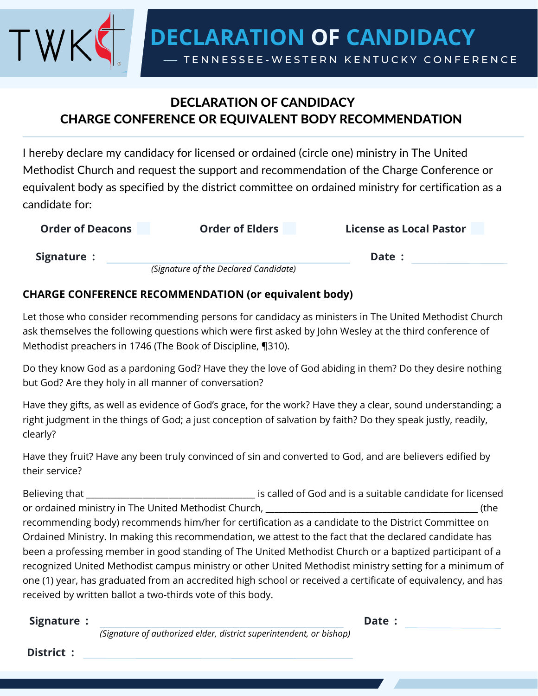**DECLARATION OF CANDIDACY**

TENNESSEE-WESTERN KENTUCKY CONFERENCE

## DECLARATION OF CANDIDACY CHARGE CONFERENCE OR EQUIVALENT BODY RECOMMENDATION

I hereby declare my candidacy for licensed or ordained (circle one) ministry in The United Methodist Church and request the support and recommendation of the Charge Conference or equivalent body as specified by the district committee on ordained ministry for certification as a candidate for:

| <b>Order of Deacons</b> | <b>Order of Elders</b>                | <b>License as Local Pastor</b> |
|-------------------------|---------------------------------------|--------------------------------|
| Signature :             |                                       | Date:                          |
|                         | (Signature of the Declared Candidate) |                                |

## **CHARGE CONFERENCE RECOMMENDATION (or equivalent body)**

Let those who consider recommending persons for candidacy as ministers in The United Methodist Church ask themselves the following questions which were first asked by John Wesley at the third conference of Methodist preachers in 1746 (The Book of Discipline, ¶310).

Do they know God as a pardoning God? Have they the love of God abiding in them? Do they desire nothing but God? Are they holy in all manner of conversation?

Have they gifts, as well as evidence of God's grace, for the work? Have they a clear, sound understanding; a right judgment in the things of God; a just conception of salvation by faith? Do they speak justly, readily, clearly?

Have they fruit? Have any been truly convinced of sin and converted to God, and are believers edified by their service?

Believing that \_\_\_\_\_\_\_\_\_\_\_\_\_\_\_\_\_\_\_\_\_\_\_\_\_\_\_\_\_\_\_\_\_\_\_\_\_\_\_ is called of God and is a suitable candidate for licensed or ordained ministry in The United Methodist Church, \_\_\_\_\_\_\_\_\_\_\_\_\_\_\_\_\_\_\_\_\_\_\_\_\_\_\_\_\_\_\_\_\_\_\_\_\_\_\_\_\_\_\_\_\_\_\_\_\_ (the recommending body) recommends him/her for certification as a candidate to the District Committee on Ordained Ministry. In making this recommendation, we attest to the fact that the declared candidate has been a professing member in good standing of The United Methodist Church or a baptized participant of a recognized United Methodist campus ministry or other United Methodist ministry setting for a minimum of one (1) year, has graduated from an accredited high school or received a certificate of equivalency, and has received by written ballot a two-thirds vote of this body.

**Signature : Date :**

*(Signature of authorized elder, district superintendent, or bishop)*

**District :**

TW